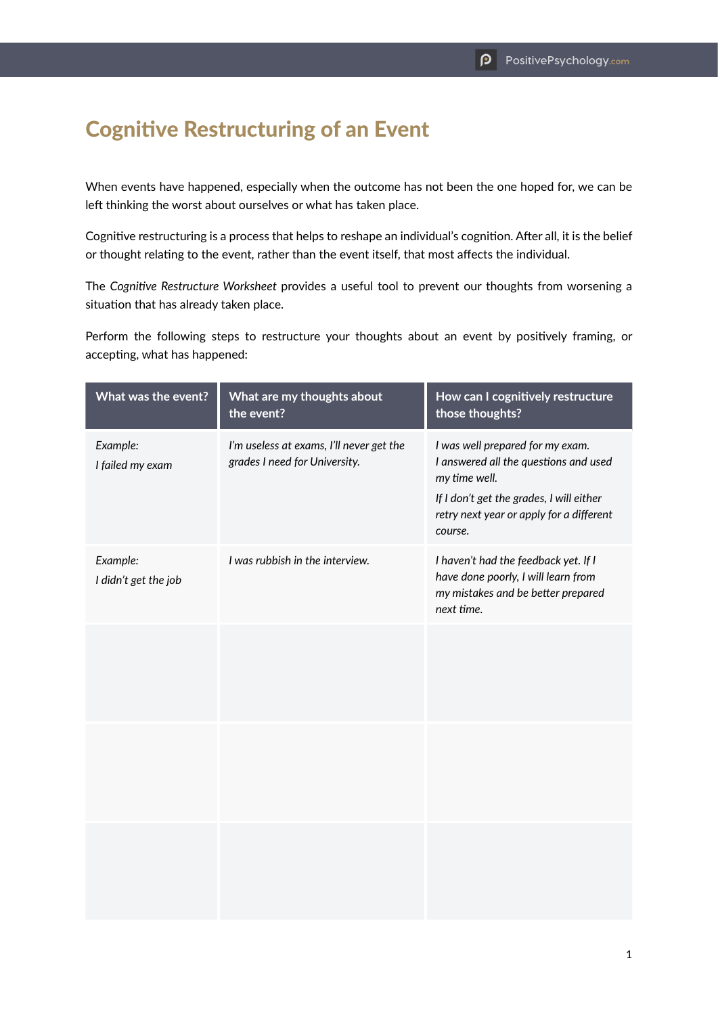## Cognitive Restructuring of an Event

When events have happened, especially when the outcome has not been the one hoped for, we can be left thinking the worst about ourselves or what has taken place.

Cognitive restructuring is a process that helps to reshape an individual's cognition. After all, it is the belief or thought relating to the event, rather than the event itself, that most affects the individual.

The *Cognitive Restructure Worksheet* provides a useful tool to prevent our thoughts from worsening a situation that has already taken place.

Perform the following steps to restructure your thoughts about an event by positively framing, or accepting, what has happened:

| What was the event?              | What are my thoughts about<br>the event?                                  | How can I cognitively restructure<br>those thoughts?                                                                                                                                          |
|----------------------------------|---------------------------------------------------------------------------|-----------------------------------------------------------------------------------------------------------------------------------------------------------------------------------------------|
| Example:<br>I failed my exam     | I'm useless at exams, I'll never get the<br>grades I need for University. | I was well prepared for my exam.<br>I answered all the questions and used<br>my time well.<br>If I don't get the grades, I will either<br>retry next year or apply for a different<br>course. |
| Example:<br>I didn't get the job | I was rubbish in the interview.                                           | I haven't had the feedback yet. If I<br>have done poorly, I will learn from<br>my mistakes and be better prepared<br>next time.                                                               |
|                                  |                                                                           |                                                                                                                                                                                               |
|                                  |                                                                           |                                                                                                                                                                                               |
|                                  |                                                                           |                                                                                                                                                                                               |